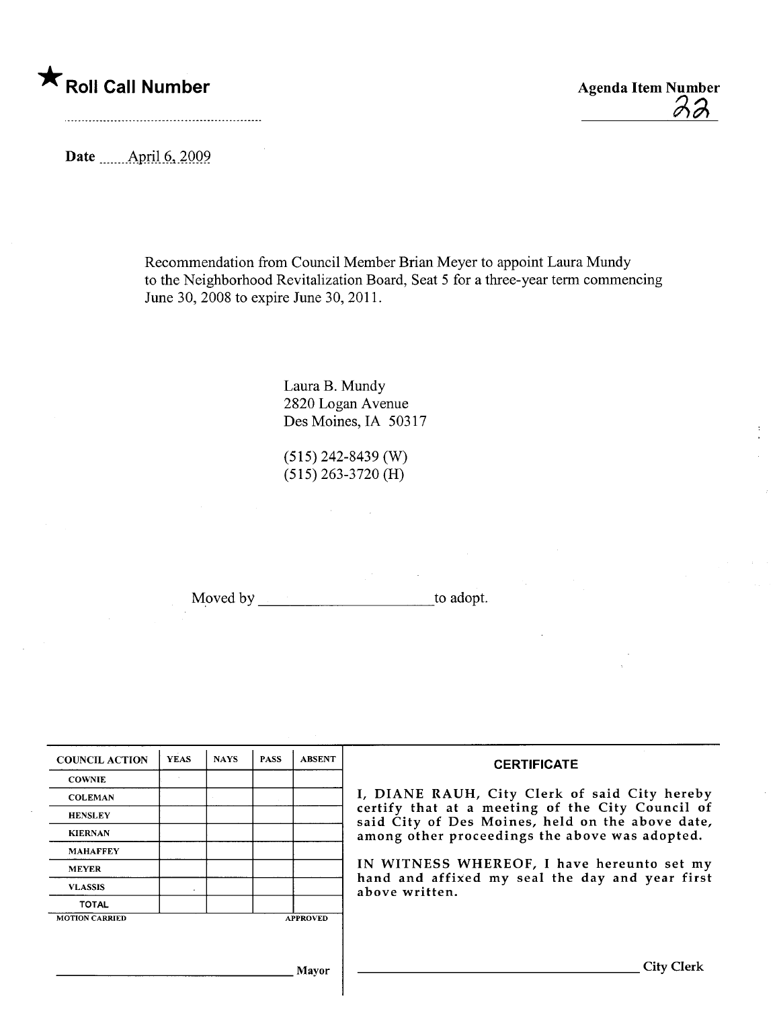## \* Roll Call Number Agenda Item Number

 $\lambda\lambda$ 

Date \_\_\_\_\_\_ April 6, 2009

Recommendation from Council Member Brian Meyer to appoint Laura Mundy to the Neighborhood Revitalization Board, Seat 5 for a three-year term commencing June 30, 2008 to expire June 30, 2011.

> Laura B. Mundy 2820 Logan Avenue Des Moines, IA 50317

(515) 242-8439 (W) (515) 263-3720 (H)

Moved by to adopt.

| <b>COUNCIL ACTION</b> | <b>YEAS</b> | <b>NAYS</b> | <b>PASS</b> | <b>ABSENT</b>   | <b>CERTIFICATE</b>                                                                                   |  |  |  |
|-----------------------|-------------|-------------|-------------|-----------------|------------------------------------------------------------------------------------------------------|--|--|--|
| <b>COWNIE</b>         |             |             |             |                 |                                                                                                      |  |  |  |
| <b>COLEMAN</b>        |             |             |             |                 | I, DIANE RAUH, City Clerk of said City hereby                                                        |  |  |  |
| <b>HENSLEY</b>        |             |             |             |                 | certify that at a meeting of the City Council of<br>said City of Des Moines, held on the above date, |  |  |  |
| <b>KIERNAN</b>        |             |             |             |                 | among other proceedings the above was adopted.                                                       |  |  |  |
| <b>MAHAFFEY</b>       |             |             |             |                 |                                                                                                      |  |  |  |
| <b>MEYER</b>          |             |             |             |                 | IN WITNESS WHEREOF, I have hereunto set my                                                           |  |  |  |
| <b>VLASSIS</b>        |             |             |             |                 | hand and affixed my seal the day and year first<br>above written.                                    |  |  |  |
| <b>TOTAL</b>          |             |             |             |                 |                                                                                                      |  |  |  |
| <b>MOTION CARRIED</b> |             |             |             | <b>APPROVED</b> |                                                                                                      |  |  |  |
|                       |             |             |             |                 |                                                                                                      |  |  |  |
|                       |             |             |             | Mavor           | City (                                                                                               |  |  |  |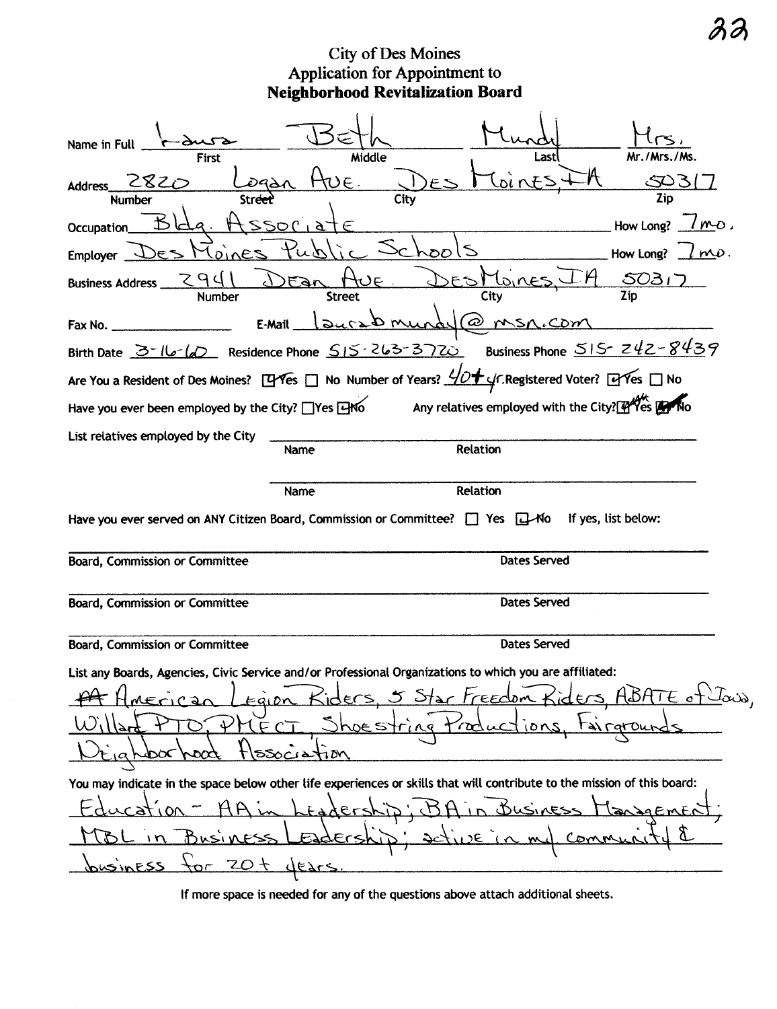City of Des Moines<br>Application for Appointment to<br>Neighborhood Revitalization Board

| Name in Ful<br><b>First</b><br>2820<br>Address_<br>Streel<br>Number                                                                                                                                                    | Middle<br>$\epsilon$ . | ast<br>Coints<br>F.<br>City                                                                                                                                     | Mr./Mrs./Ms.<br>503<br>Zip               |  |  |  |
|------------------------------------------------------------------------------------------------------------------------------------------------------------------------------------------------------------------------|------------------------|-----------------------------------------------------------------------------------------------------------------------------------------------------------------|------------------------------------------|--|--|--|
| Occupation<br><b>Employer</b><br><b>Business Address</b><br>Number                                                                                                                                                     | <b>Street</b>          | ゆひ<br>City                                                                                                                                                      | $lmD$ .<br>How Long?<br>How Long?<br>503 |  |  |  |
| Birth Date $3-16$ CD Residence Phone $515-263-372$ Business Phone $515-242-8439$                                                                                                                                       | 340<br>E-Mail          | @msn.com                                                                                                                                                        |                                          |  |  |  |
| Are You a Resident of Des Moines? [1946s   No Number of Years? $\frac{1}{2}$   CRegistered Voter? [1946s   No<br>Have you ever been employed by the City? Thes EHYO Any relatives employed with the City? THYES THE NO |                        |                                                                                                                                                                 |                                          |  |  |  |
|                                                                                                                                                                                                                        |                        |                                                                                                                                                                 |                                          |  |  |  |
| List relatives employed by the City                                                                                                                                                                                    | Name                   | Relation                                                                                                                                                        |                                          |  |  |  |
| Relation<br>Name<br>Have you ever served on ANY Citizen Board, Commission or Committee? $\Box$ Yes $\Box$ Mo If yes, list below:                                                                                       |                        |                                                                                                                                                                 |                                          |  |  |  |
| Board, Commission or Committee                                                                                                                                                                                         |                        | Dates Served                                                                                                                                                    |                                          |  |  |  |
| Board, Commission or Committee                                                                                                                                                                                         |                        | <b>Dates Served</b>                                                                                                                                             |                                          |  |  |  |
| Board, Commission or Committee                                                                                                                                                                                         |                        | <b>Dates Served</b>                                                                                                                                             |                                          |  |  |  |
| List any Boards, Agencies, Civic Service and/or Professional Organizations to which you are affiliated:                                                                                                                |                        |                                                                                                                                                                 |                                          |  |  |  |
| $\downarrow$                                                                                                                                                                                                           | <u>ssociation</u>      | MErican Legion Kiders, 5 Star Freedom Kiders, ABATE of Java,<br>FCT, Shoestring traductions, tairgrounds                                                        |                                          |  |  |  |
| or ZOt dears<br><u>businESS</u>                                                                                                                                                                                        | dershi                 | You may indicate in the space below other life experiences or skills that will contribute to the mission of this board:<br>$\sigma$<br>Eadership: active in mul | Managemen<br>Connuc                      |  |  |  |
|                                                                                                                                                                                                                        |                        |                                                                                                                                                                 |                                          |  |  |  |

If more space is needed for any of the questions above attach additional sheets.